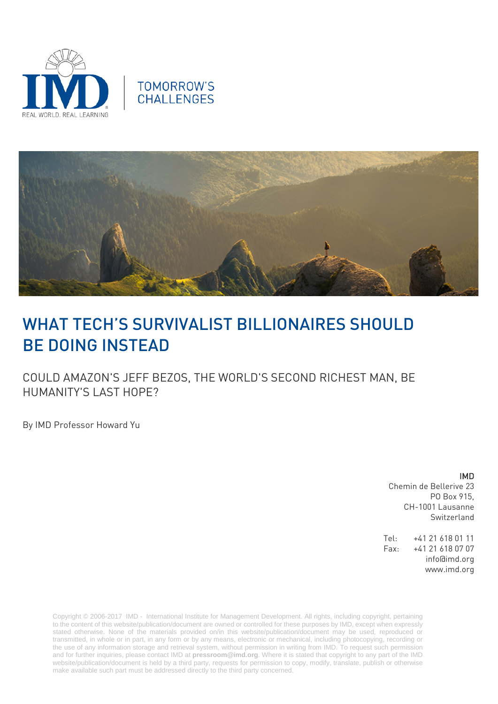





# WHAT TECH'S SURVIVALIST BILLIONAIRES SHOULD BE DOING INSTEAD

COULD AMAZON'S JEFF BEZOS, THE WORLD'S SECOND RICHEST MAN, BE HUMANITY'S LAST HOPE?

By IMD Professor Howard Yu

## IMD

Chemin de Bellerive 23 PO Box 915, CH-1001 Lausanne Switzerland

Tel: +41 21 618 01 11 Fax: +41 21 618 07 07 info@imd.org www.imd.org

Copyright © 2006-2017 IMD - International Institute for Management Development. All rights, including copyright, pertaining to the content of this website/publication/document are owned or controlled for these purposes by IMD, except when expressly stated otherwise. None of the materials provided on/in this website/publication/document may be used, reproduced or transmitted, in whole or in part, in any form or by any means, electronic or mechanical, including photocopying, recording or the use of any information storage and retrieval system, without permission in writing from IMD. To request such permission and for further inquiries, please contact IMD at **[pressroom@imd.org](mailto:pressroom@imd.org)**. Where it is stated that copyright to any part of the IMD website/publication/document is held by a third party, requests for permission to copy, modify, translate, publish or otherwise make available such part must be addressed directly to the third party concerned.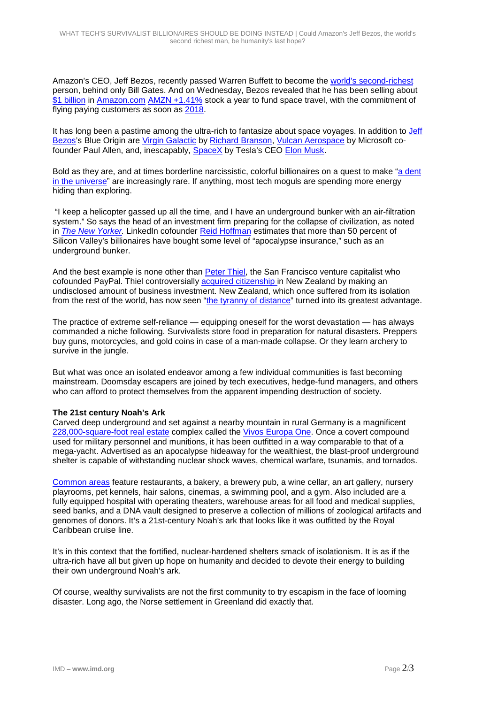Amazon's CEO, Jeff Bezos, recently passed Warren Buffett to become the [world's second-richest](https://www.bloomberg.com/news/articles/2017-03-29/bezos-rises-to-become-world-s-second-richest-with-amazon-surge) person, behind only Bill Gates. And on Wednesday, Bezos revealed that he has been selling about [\\$1 billion](http://fortune.com/2017/04/05/jeff-bezos-amazon-stock-sale-blue-origin/) in [Amazon.com](http://www.forbes.com/companies/amazon/) [AMZN +1.41%](http://www.forbes.com/companies/amazon/) stock a year to fund space travel, with the commitment of flying paying customers as soon as [2018.](https://www.washingtonpost.com/news/the-switch/wp/2017/04/05/jeff-bezos-shows-off-the-crew-capsule-that-could-soon-take-tourists-to-space/?utm_term=.81354ecfb3bc)

It has long been a pastime among the ultra-rich to fantasize about space voyages. In addition to [Jeff](http://www.forbes.com/profile/jeff-bezos/)  [Bezos's](http://www.forbes.com/profile/jeff-bezos/) Blue Origin are [Virgin Galactic](http://www.virgingalactic.com/human-spaceflight/) by [Richard Branson,](http://www.forbes.com/profile/richard-branson/) [Vulcan Aerospace](http://www.vulcan.com/areas-of-practice/space) by Microsoft cofounder Paul Allen, and, inescapably, [SpaceX](http://www.spacex.com/) by Tesla's CEO [Elon Musk.](http://www.forbes.com/profile/elon-musk/)

Bold as they are, and at times borderline narcissistic, colorful billionaires on a quest to make ["a dent](https://www.nytimes.com/2015/10/12/technology/in-steve-jobs-tolerating-techs-unpleasant-visionaries.html)  [in the universe"](https://www.nytimes.com/2015/10/12/technology/in-steve-jobs-tolerating-techs-unpleasant-visionaries.html) are increasingly rare. If anything, most tech moguls are spending more energy hiding than exploring.

"I keep a helicopter gassed up all the time, and I have an underground bunker with an air-filtration system." So says the head of an investment firm preparing for the collapse of civilization, as noted in *The [New Yorker.](http://www.newyorker.com/magazine/2017/01/30/doomsday-prep-for-the-super-rich)* LinkedIn cofounder [Reid Hoffman](http://www.forbes.com/profile/reid-hoffman/) estimates that more than 50 percent of Silicon Valley's billionaires have bought some level of "apocalypse insurance," such as an underground bunker.

And the best example is none other than [Peter Thiel,](http://www.forbes.com/profile/peter-thiel/) the San Francisco venture capitalist who cofounded PayPal. Thiel controversially [acquired citizenship](http://www.cnbc.com/2017/01/25/thiel-trump-tech-envoy-became-new-zealand-citizen-rrpoty.html) in New Zealand by making an undisclosed amount of business investment. New Zealand, which once suffered from its isolation from the rest of the world, has now seen ["the tyranny of distance"](http://www.newyorker.com/magazine/2017/01/30/doomsday-prep-for-the-super-rich) turned into its greatest advantage.

The practice of extreme self-reliance — equipping oneself for the worst devastation — has always commanded a niche following. Survivalists store food in preparation for natural disasters. Preppers buy guns, motorcycles, and gold coins in case of a man-made collapse. Or they learn archery to survive in the jungle.

But what was once an isolated endeavor among a few individual communities is fast becoming mainstream. Doomsday escapers are joined by tech executives, hedge-fund managers, and others who can afford to protect themselves from the apparent impending destruction of society.

### **The 21st century Noah's Ark**

Carved deep underground and set against a nearby mountain in rural Germany is a magnificent [228,000-square-foot real estate](https://www.forbes.com/sites/jimdobson/2015/06/12/billionaire-bunkers-exclusive-look-inside-the-worlds-largest-planned-doomsday-escape) complex called the [Vivos Europa One.](http://terravivos.com/secure/vivoseuropaone.htm) Once a covert compound used for military personnel and munitions, it has been outfitted in a way comparable to that of a mega-yacht. Advertised as an apocalypse hideaway for the wealthiest, the blast-proof underground shelter is capable of withstanding nuclear shock waves, chemical warfare, tsunamis, and tornados.

[Common areas](https://www.forbes.com/sites/jimdobson/2015/11/16/the-top-10-luxury-perks-of-the-swankiest-doomsday-bunkers/) feature restaurants, a bakery, a brewery pub, a wine cellar, an art gallery, nursery playrooms, pet kennels, hair salons, cinemas, a swimming pool, and a gym. Also included are a fully equipped hospital with operating theaters, warehouse areas for all food and medical supplies, seed banks, and a DNA vault designed to preserve a collection of millions of zoological artifacts and genomes of donors. It's a 21st-century Noah's ark that looks like it was outfitted by the Royal Caribbean cruise line.

It's in this context that the fortified, nuclear-hardened shelters smack of isolationism. It is as if the ultra-rich have all but given up hope on humanity and decided to devote their energy to building their own underground Noah's ark.

Of course, wealthy survivalists are not the first community to try escapism in the face of looming disaster. Long ago, the Norse settlement in Greenland did exactly that.